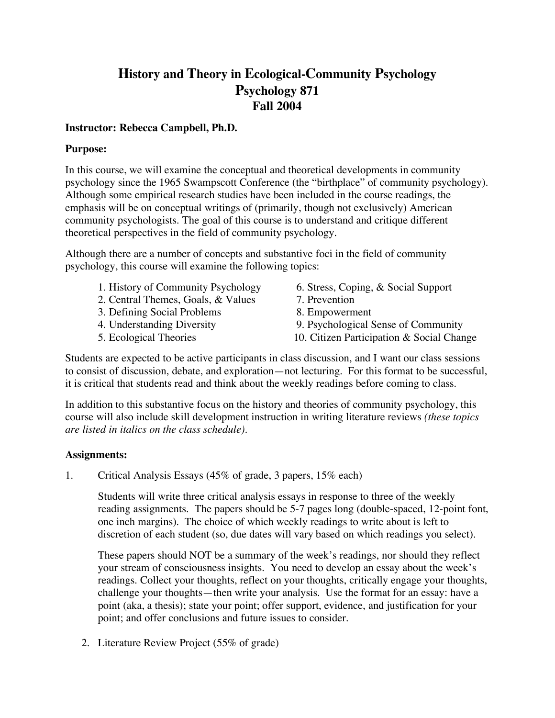## **History and Theory in Ecological-Community Psychology Psychology 871 Fall 2004**

#### **Instructor: Rebecca Campbell, Ph.D.**

#### **Purpose:**

In this course, we will examine the conceptual and theoretical developments in community psychology since the 1965 Swampscott Conference (the "birthplace" of community psychology). Although some empirical research studies have been included in the course readings, the emphasis will be on conceptual writings of (primarily, though not exclusively) American community psychologists. The goal of this course is to understand and critique different theoretical perspectives in the field of community psychology.

Although there are a number of concepts and substantive foci in the field of community psychology, this course will examine the following topics:

- 1. History of Community Psychology 6. Stress, Coping, & Social Support
- 2. Central Themes, Goals, & Values 7. Prevention
- 3. Defining Social Problems 8. Empowerment
- 
- 
- 
- 
- 
- 4. Understanding Diversity 9. Psychological Sense of Community
- 5. Ecological Theories 10. Citizen Participation & Social Change

Students are expected to be active participants in class discussion, and I want our class sessions to consist of discussion, debate, and exploration—not lecturing. For this format to be successful, it is critical that students read and think about the weekly readings before coming to class.

In addition to this substantive focus on the history and theories of community psychology, this course will also include skill development instruction in writing literature reviews *(these topics are listed in italics on the class schedule)*.

#### **Assignments:**

1. Critical Analysis Essays (45% of grade, 3 papers, 15% each)

Students will write three critical analysis essays in response to three of the weekly reading assignments. The papers should be 5-7 pages long (double-spaced, 12-point font, one inch margins). The choice of which weekly readings to write about is left to discretion of each student (so, due dates will vary based on which readings you select).

These papers should NOT be a summary of the week's readings, nor should they reflect your stream of consciousness insights. You need to develop an essay about the week's readings. Collect your thoughts, reflect on your thoughts, critically engage your thoughts, challenge your thoughts—then write your analysis. Use the format for an essay: have a point (aka, a thesis); state your point; offer support, evidence, and justification for your point; and offer conclusions and future issues to consider.

2. Literature Review Project (55% of grade)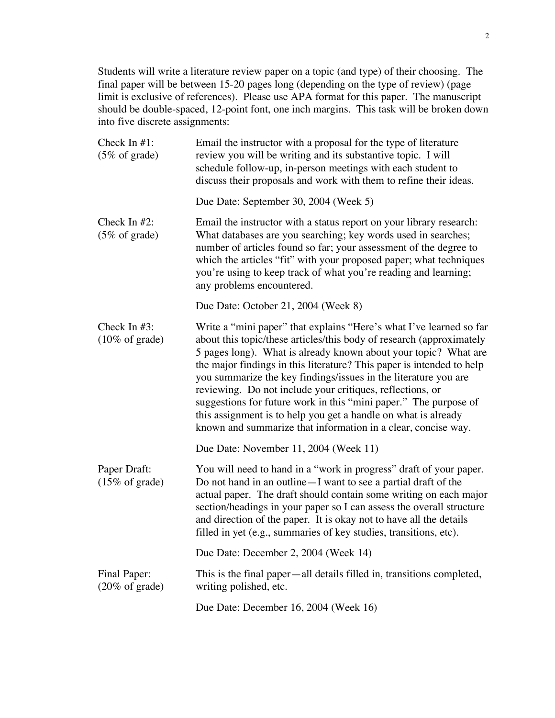Students will write a literature review paper on a topic (and type) of their choosing. The final paper will be between 15-20 pages long (depending on the type of review) (page limit is exclusive of references). Please use APA format for this paper. The manuscript should be double-spaced, 12-point font, one inch margins. This task will be broken down into five discrete assignments:

| Check In $#1$ :<br>$(5\% \text{ of grade})$  | Email the instructor with a proposal for the type of literature<br>review you will be writing and its substantive topic. I will<br>schedule follow-up, in-person meetings with each student to<br>discuss their proposals and work with them to refine their ideas.                                                                                                                                                                                                                                                                                                                                                            |
|----------------------------------------------|--------------------------------------------------------------------------------------------------------------------------------------------------------------------------------------------------------------------------------------------------------------------------------------------------------------------------------------------------------------------------------------------------------------------------------------------------------------------------------------------------------------------------------------------------------------------------------------------------------------------------------|
|                                              | Due Date: September 30, 2004 (Week 5)                                                                                                                                                                                                                                                                                                                                                                                                                                                                                                                                                                                          |
| Check In $#2$ :<br>$(5\% \text{ of grade})$  | Email the instructor with a status report on your library research:<br>What databases are you searching; key words used in searches;<br>number of articles found so far; your assessment of the degree to<br>which the articles "fit" with your proposed paper; what techniques<br>you're using to keep track of what you're reading and learning;<br>any problems encountered.                                                                                                                                                                                                                                                |
|                                              | Due Date: October 21, 2004 (Week 8)                                                                                                                                                                                                                                                                                                                                                                                                                                                                                                                                                                                            |
| Check In $#3$ :<br>$(10\% \text{ of grade})$ | Write a "mini paper" that explains "Here's what I've learned so far<br>about this topic/these articles/this body of research (approximately<br>5 pages long). What is already known about your topic? What are<br>the major findings in this literature? This paper is intended to help<br>you summarize the key findings/issues in the literature you are<br>reviewing. Do not include your critiques, reflections, or<br>suggestions for future work in this "mini paper." The purpose of<br>this assignment is to help you get a handle on what is already<br>known and summarize that information in a clear, concise way. |
|                                              | Due Date: November 11, 2004 (Week 11)                                                                                                                                                                                                                                                                                                                                                                                                                                                                                                                                                                                          |
| Paper Draft:<br>$(15\% \text{ of grade})$    | You will need to hand in a "work in progress" draft of your paper.<br>Do not hand in an outline - I want to see a partial draft of the<br>actual paper. The draft should contain some writing on each major<br>section/headings in your paper so I can assess the overall structure<br>and direction of the paper. It is okay not to have all the details<br>filled in yet (e.g., summaries of key studies, transitions, etc).                                                                                                                                                                                                 |
|                                              | Due Date: December 2, 2004 (Week 14)                                                                                                                                                                                                                                                                                                                                                                                                                                                                                                                                                                                           |
| Final Paper:<br>$(20\% \text{ of grade})$    | This is the final paper—all details filled in, transitions completed,<br>writing polished, etc.                                                                                                                                                                                                                                                                                                                                                                                                                                                                                                                                |
|                                              | Due Date: December 16, 2004 (Week 16)                                                                                                                                                                                                                                                                                                                                                                                                                                                                                                                                                                                          |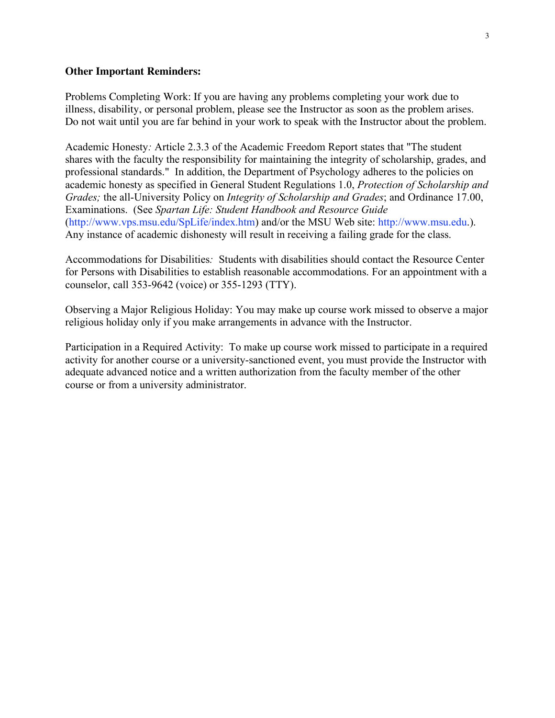#### **Other Important Reminders:**

Problems Completing Work: If you are having any problems completing your work due to illness, disability, or personal problem, please see the Instructor as soon as the problem arises. Do not wait until you are far behind in your work to speak with the Instructor about the problem.

Academic Honesty*:* Article 2.3.3 of the Academic Freedom Report states that "The student shares with the faculty the responsibility for maintaining the integrity of scholarship, grades, and professional standards." In addition, the Department of Psychology adheres to the policies on academic honesty as specified in General Student Regulations 1.0, *Protection of Scholarship and Grades;* the all-University Policy on *Integrity of Scholarship and Grades*; and Ordinance 17.00, Examinations. (See *Spartan Life: Student Handbook and Resource Guide* (http://www.vps.msu.edu/SpLife/index.htm) and/or the MSU Web site: http://www.msu.edu.). Any instance of academic dishonesty will result in receiving a failing grade for the class.

Accommodations for Disabilities*:* Students with disabilities should contact the Resource Center for Persons with Disabilities to establish reasonable accommodations. For an appointment with a counselor, call 353-9642 (voice) or 355-1293 (TTY).

Observing a Major Religious Holiday: You may make up course work missed to observe a major religious holiday only if you make arrangements in advance with the Instructor.

Participation in a Required Activity: To make up course work missed to participate in a required activity for another course or a university-sanctioned event, you must provide the Instructor with adequate advanced notice and a written authorization from the faculty member of the other course or from a university administrator.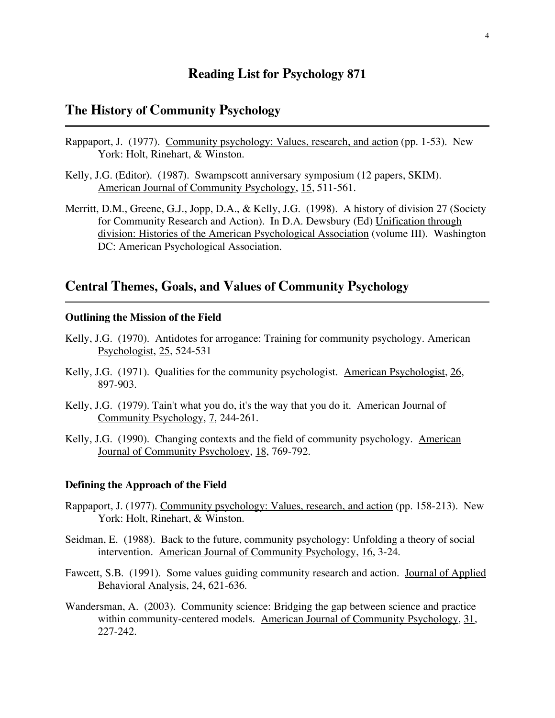## **Reading List for Psychology 871**

## **The History of Community Psychology**

- Rappaport, J. (1977). Community psychology: Values, research, and action (pp. 1-53). New York: Holt, Rinehart, & Winston.
- Kelly, J.G. (Editor). (1987). Swampscott anniversary symposium (12 papers, SKIM). American Journal of Community Psychology, 15, 511-561.
- Merritt, D.M., Greene, G.J., Jopp, D.A., & Kelly, J.G. (1998). A history of division 27 (Society for Community Research and Action). In D.A. Dewsbury (Ed) Unification through division: Histories of the American Psychological Association (volume III). Washington DC: American Psychological Association.

## **Central Themes, Goals, and Values of Community Psychology**

#### **Outlining the Mission of the Field**

- Kelly, J.G. (1970). Antidotes for arrogance: Training for community psychology. American Psychologist, 25, 524-531
- Kelly, J.G. (1971). Qualities for the community psychologist. American Psychologist, 26, 897-903.
- Kelly, J.G. (1979). Tain't what you do, it's the way that you do it. American Journal of Community Psychology, 7, 244-261.
- Kelly, J.G. (1990). Changing contexts and the field of community psychology. American Journal of Community Psychology, 18, 769-792.

#### **Defining the Approach of the Field**

- Rappaport, J. (1977). Community psychology: Values, research, and action (pp. 158-213). New York: Holt, Rinehart, & Winston.
- Seidman, E. (1988). Back to the future, community psychology: Unfolding a theory of social intervention. American Journal of Community Psychology, 16, 3-24.
- Fawcett, S.B. (1991). Some values guiding community research and action. Journal of Applied Behavioral Analysis, 24, 621-636.
- Wandersman, A. (2003). Community science: Bridging the gap between science and practice within community-centered models. American Journal of Community Psychology, 31, 227-242.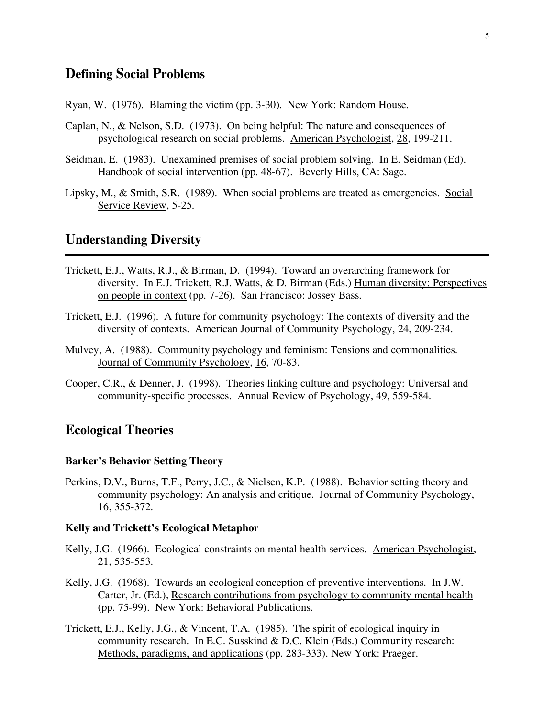Ryan, W. (1976). Blaming the victim (pp. 3-30). New York: Random House.

- Caplan, N., & Nelson, S.D. (1973). On being helpful: The nature and consequences of psychological research on social problems. American Psychologist, 28, 199-211.
- Seidman, E. (1983). Unexamined premises of social problem solving. In E. Seidman (Ed). Handbook of social intervention (pp. 48-67). Beverly Hills, CA: Sage.
- Lipsky, M., & Smith, S.R. (1989). When social problems are treated as emergencies. Social Service Review, 5-25.

### **Understanding Diversity**

- Trickett, E.J., Watts, R.J., & Birman, D. (1994). Toward an overarching framework for diversity. In E.J. Trickett, R.J. Watts, & D. Birman (Eds.) Human diversity: Perspectives on people in context (pp. 7-26). San Francisco: Jossey Bass.
- Trickett, E.J. (1996). A future for community psychology: The contexts of diversity and the diversity of contexts. American Journal of Community Psychology, 24, 209-234.
- Mulvey, A. (1988). Community psychology and feminism: Tensions and commonalities. Journal of Community Psychology, 16, 70-83.
- Cooper, C.R., & Denner, J. (1998). Theories linking culture and psychology: Universal and community-specific processes. Annual Review of Psychology, 49, 559-584.

## **Ecological Theories**

#### **Barker's Behavior Setting Theory**

Perkins, D.V., Burns, T.F., Perry, J.C., & Nielsen, K.P. (1988). Behavior setting theory and community psychology: An analysis and critique. Journal of Community Psychology, 16, 355-372.

#### **Kelly and Trickett's Ecological Metaphor**

- Kelly, J.G. (1966). Ecological constraints on mental health services. American Psychologist, 21, 535-553.
- Kelly, J.G. (1968). Towards an ecological conception of preventive interventions. In J.W. Carter, Jr. (Ed.), Research contributions from psychology to community mental health (pp. 75-99). New York: Behavioral Publications.
- Trickett, E.J., Kelly, J.G., & Vincent, T.A. (1985). The spirit of ecological inquiry in community research. In E.C. Susskind & D.C. Klein (Eds.) Community research: Methods, paradigms, and applications (pp. 283-333). New York: Praeger.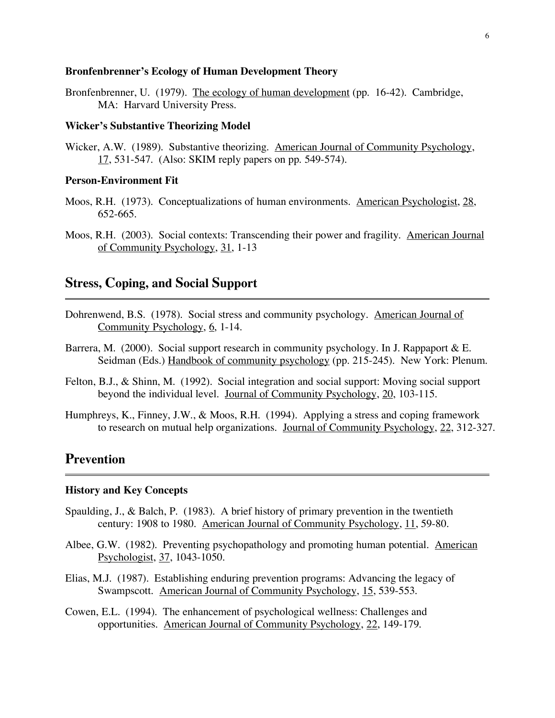#### **Bronfenbrenner's Ecology of Human Development Theory**

Bronfenbrenner, U. (1979). The ecology of human development (pp. 16-42). Cambridge, MA: Harvard University Press.

#### **Wicker's Substantive Theorizing Model**

Wicker, A.W. (1989). Substantive theorizing. American Journal of Community Psychology, 17, 531-547. (Also: SKIM reply papers on pp. 549-574).

#### **Person-Environment Fit**

- Moos, R.H. (1973). Conceptualizations of human environments. American Psychologist, 28, 652-665.
- Moos, R.H. (2003). Social contexts: Transcending their power and fragility. American Journal of Community Psychology, 31, 1-13

## **Stress, Coping, and Social Support**

- Dohrenwend, B.S. (1978). Social stress and community psychology. American Journal of Community Psychology, 6, 1-14.
- Barrera, M. (2000). Social support research in community psychology. In J. Rappaport & E. Seidman (Eds.) Handbook of community psychology (pp. 215-245). New York: Plenum.
- Felton, B.J., & Shinn, M. (1992). Social integration and social support: Moving social support beyond the individual level. Journal of Community Psychology, 20, 103-115.
- Humphreys, K., Finney, J.W., & Moos, R.H. (1994). Applying a stress and coping framework to research on mutual help organizations. Journal of Community Psychology, 22, 312-327.

## **Prevention**

#### **History and Key Concepts**

- Spaulding, J., & Balch, P. (1983). A brief history of primary prevention in the twentieth century: 1908 to 1980. American Journal of Community Psychology, 11, 59-80.
- Albee, G.W. (1982). Preventing psychopathology and promoting human potential. American Psychologist, 37, 1043-1050.
- Elias, M.J. (1987). Establishing enduring prevention programs: Advancing the legacy of Swampscott. American Journal of Community Psychology, 15, 539-553.
- Cowen, E.L. (1994). The enhancement of psychological wellness: Challenges and opportunities. American Journal of Community Psychology, 22, 149-179.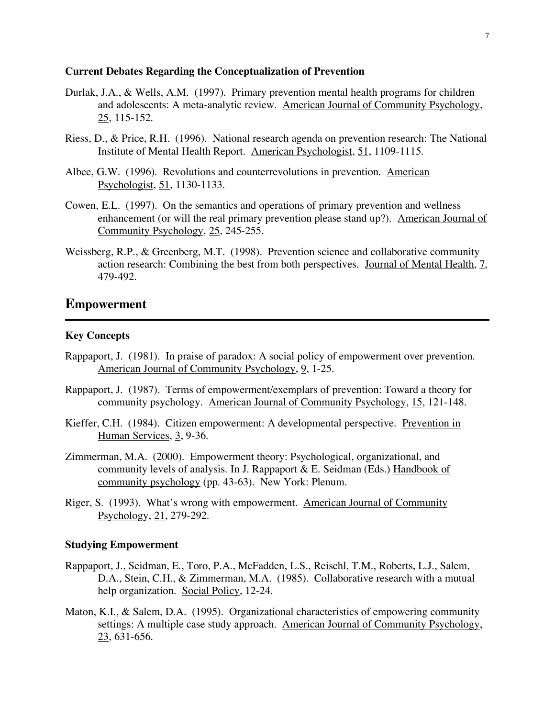#### **Current Debates Regarding the Conceptualization of Prevention**

- Durlak, J.A., & Wells, A.M. (1997). Primary prevention mental health programs for children and adolescents: A meta-analytic review. American Journal of Community Psychology, 25, 115-152.
- Riess, D., & Price, R.H. (1996). National research agenda on prevention research: The National Institute of Mental Health Report. American Psychologist, 51, 1109-1115.
- Albee, G.W. (1996). Revolutions and counterrevolutions in prevention. American Psychologist, 51, 1130-1133.
- Cowen, E.L. (1997). On the semantics and operations of primary prevention and wellness enhancement (or will the real primary prevention please stand up?). American Journal of Community Psychology, 25, 245-255.
- Weissberg, R.P., & Greenberg, M.T. (1998). Prevention science and collaborative community action research: Combining the best from both perspectives. Journal of Mental Health, 7, 479-492.

#### **Empowerment**

#### **Key Concepts**

- Rappaport, J. (1981). In praise of paradox: A social policy of empowerment over prevention. American Journal of Community Psychology, 9, 1-25.
- Rappaport, J. (1987). Terms of empowerment/exemplars of prevention: Toward a theory for community psychology. American Journal of Community Psychology, 15, 121-148.
- Kieffer, C.H. (1984). Citizen empowerment: A developmental perspective. Prevention in Human Services, 3, 9-36.
- Zimmerman, M.A. (2000). Empowerment theory: Psychological, organizational, and community levels of analysis. In J. Rappaport & E. Seidman (Eds.) Handbook of community psychology (pp. 43-63). New York: Plenum.
- Riger, S. (1993). What's wrong with empowerment. American Journal of Community Psychology, 21, 279-292.

#### **Studying Empowerment**

- Rappaport, J., Seidman, E., Toro, P.A., McFadden, L.S., Reischl, T.M., Roberts, L.J., Salem, D.A., Stein, C.H., & Zimmerman, M.A. (1985). Collaborative research with a mutual help organization. Social Policy, 12-24.
- Maton, K.I., & Salem, D.A. (1995). Organizational characteristics of empowering community settings: A multiple case study approach. American Journal of Community Psychology, 23, 631-656.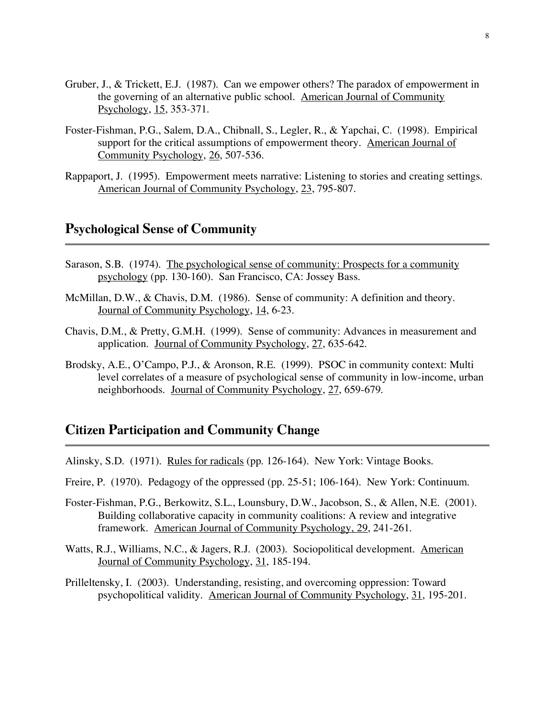- Gruber, J., & Trickett, E.J. (1987). Can we empower others? The paradox of empowerment in the governing of an alternative public school. American Journal of Community Psychology, 15, 353-371.
- Foster-Fishman, P.G., Salem, D.A., Chibnall, S., Legler, R., & Yapchai, C. (1998). Empirical support for the critical assumptions of empowerment theory. American Journal of Community Psychology, 26, 507-536.
- Rappaport, J. (1995). Empowerment meets narrative: Listening to stories and creating settings. American Journal of Community Psychology, 23, 795-807.

## **Psychological Sense of Community**

- Sarason, S.B. (1974). The psychological sense of community: Prospects for a community psychology (pp. 130-160). San Francisco, CA: Jossey Bass.
- McMillan, D.W., & Chavis, D.M. (1986). Sense of community: A definition and theory. Journal of Community Psychology, 14, 6-23.
- Chavis, D.M., & Pretty, G.M.H. (1999). Sense of community: Advances in measurement and application. Journal of Community Psychology, 27, 635-642.
- Brodsky, A.E., O'Campo, P.J., & Aronson, R.E. (1999). PSOC in community context: Multi level correlates of a measure of psychological sense of community in low-income, urban neighborhoods. Journal of Community Psychology, 27, 659-679.

## **Citizen Participation and Community Change**

- Alinsky, S.D. (1971). Rules for radicals (pp. 126-164). New York: Vintage Books.
- Freire, P. (1970). Pedagogy of the oppressed (pp. 25-51; 106-164). New York: Continuum.
- Foster-Fishman, P.G., Berkowitz, S.L., Lounsbury, D.W., Jacobson, S., & Allen, N.E. (2001). Building collaborative capacity in community coalitions: A review and integrative framework. American Journal of Community Psychology, 29, 241-261.
- Watts, R.J., Williams, N.C., & Jagers, R.J. (2003). Sociopolitical development. American Journal of Community Psychology, 31, 185-194.
- Prilleltensky, I. (2003). Understanding, resisting, and overcoming oppression: Toward psychopolitical validity. American Journal of Community Psychology, 31, 195-201.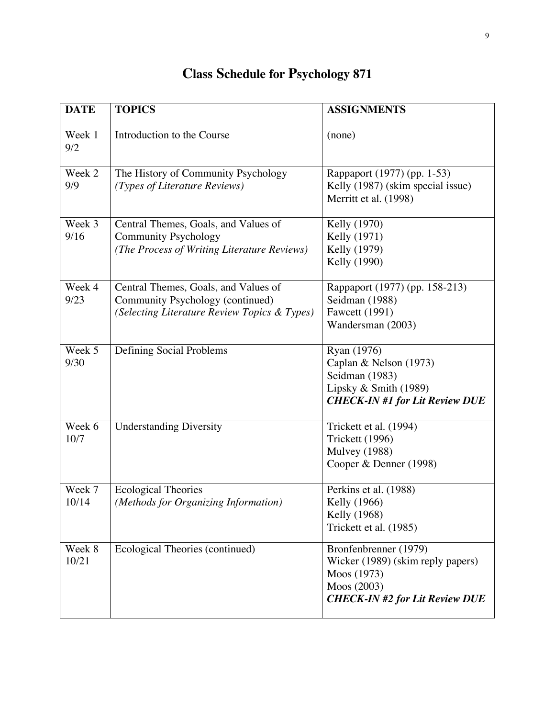| <b>DATE</b>     | <b>TOPICS</b>                                                                                                            | <b>ASSIGNMENTS</b>                                                                                                                |
|-----------------|--------------------------------------------------------------------------------------------------------------------------|-----------------------------------------------------------------------------------------------------------------------------------|
| Week 1<br>9/2   | Introduction to the Course                                                                                               | (none)                                                                                                                            |
| Week 2<br>9/9   | The History of Community Psychology<br>(Types of Literature Reviews)                                                     | Rappaport (1977) (pp. 1-53)<br>Kelly (1987) (skim special issue)<br>Merritt et al. (1998)                                         |
| Week 3<br>9/16  | Central Themes, Goals, and Values of<br><b>Community Psychology</b><br>(The Process of Writing Literature Reviews)       | Kelly (1970)<br>Kelly (1971)<br>Kelly (1979)<br>Kelly (1990)                                                                      |
| Week 4<br>9/23  | Central Themes, Goals, and Values of<br>Community Psychology (continued)<br>(Selecting Literature Review Topics & Types) | Rappaport (1977) (pp. 158-213)<br>Seidman (1988)<br><b>Fawcett</b> (1991)<br>Wandersman (2003)                                    |
| Week 5<br>9/30  | Defining Social Problems                                                                                                 | Ryan (1976)<br>Caplan & Nelson (1973)<br>Seidman (1983)<br>Lipsky & Smith (1989)<br><b>CHECK-IN #1 for Lit Review DUE</b>         |
| Week 6<br>10/7  | <b>Understanding Diversity</b>                                                                                           | Trickett et al. (1994)<br>Trickett (1996)<br><b>Mulvey</b> (1988)<br>Cooper & Denner (1998)                                       |
| Week 7<br>10/14 | <b>Ecological Theories</b><br>(Methods for Organizing Information)                                                       | Perkins et al. (1988)<br>Kelly (1966)<br>Kelly (1968)<br>Trickett et al. (1985)                                                   |
| Week 8<br>10/21 | Ecological Theories (continued)                                                                                          | Bronfenbrenner (1979)<br>Wicker (1989) (skim reply papers)<br>Moos (1973)<br>Moos (2003)<br><b>CHECK-IN #2 for Lit Review DUE</b> |

# **Class Schedule for Psychology 871**